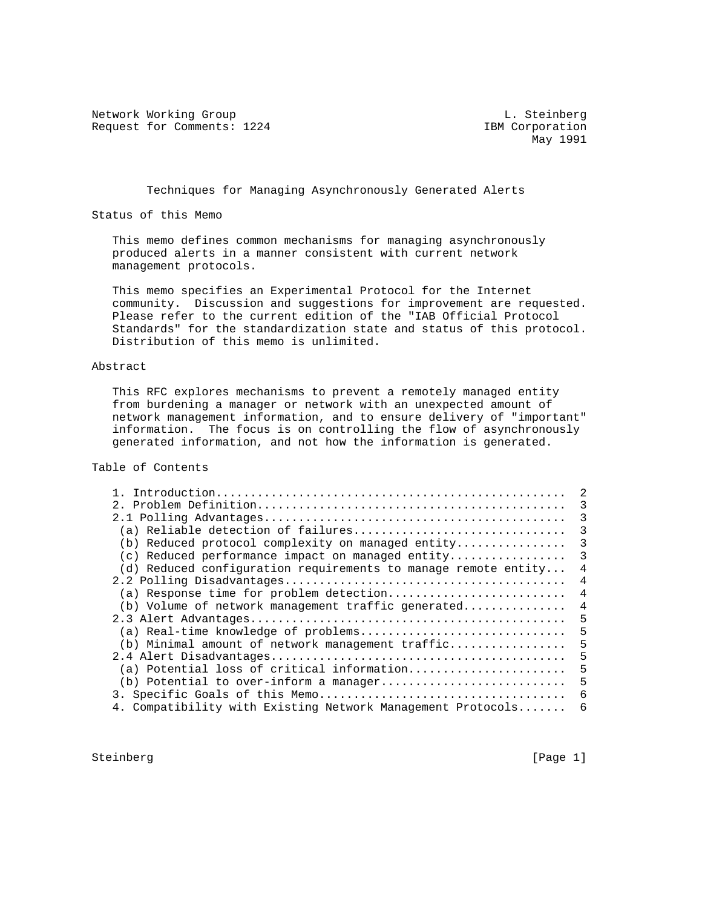Network Working Group and Communications of the U.S. Steinberg Request for Comments: 1224 IBM Corporation

May 1991

Techniques for Managing Asynchronously Generated Alerts

Status of this Memo

 This memo defines common mechanisms for managing asynchronously produced alerts in a manner consistent with current network management protocols.

 This memo specifies an Experimental Protocol for the Internet community. Discussion and suggestions for improvement are requested. Please refer to the current edition of the "IAB Official Protocol Standards" for the standardization state and status of this protocol. Distribution of this memo is unlimited.

#### Abstract

 This RFC explores mechanisms to prevent a remotely managed entity from burdening a manager or network with an unexpected amount of network management information, and to ensure delivery of "important" information. The focus is on controlling the flow of asynchronously generated information, and not how the information is generated.

# Table of Contents

|                                                                | 3 |
|----------------------------------------------------------------|---|
| (a) Reliable detection of failures                             | 3 |
| (b) Reduced protocol complexity on managed entity              | 3 |
| $(c)$ Reduced performance impact on managed entity             | 3 |
| (d) Reduced configuration requirements to manage remote entity | 4 |
|                                                                | 4 |
| (a) Response time for problem detection                        | 4 |
| (b) Volume of network management traffic generated             | 4 |
|                                                                | 5 |
| (a) Real-time knowledge of problems                            | 5 |
| (b) Minimal amount of network management traffic               | 5 |
|                                                                | 5 |
| (a) Potential loss of critical information                     | 5 |
| (b) Potential to over-inform a manager                         | 5 |
|                                                                | 6 |
| 4. Compatibility with Existing Network Management Protocols    | 6 |

Steinberg [Page 1]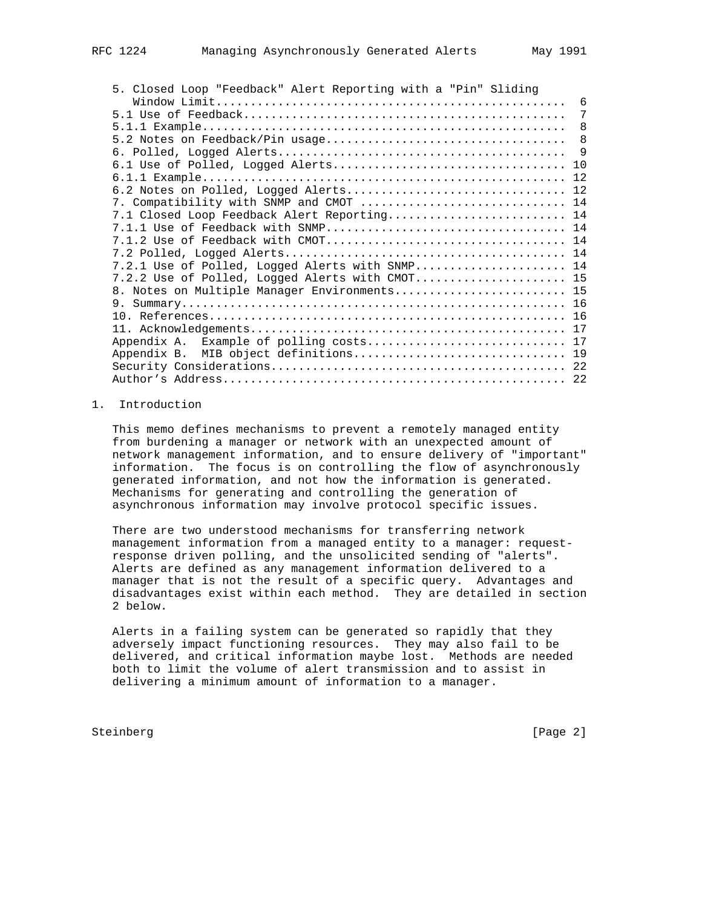| 5. Closed Loop "Feedback" Alert Reporting with a "Pin" Sliding |    |
|----------------------------------------------------------------|----|
|                                                                | -6 |
|                                                                | 7  |
|                                                                | 8  |
|                                                                | 8  |
|                                                                | 9  |
|                                                                |    |
|                                                                |    |
| 6.2 Notes on Polled, Logged Alerts 12                          |    |
| 7. Compatibility with SNMP and CMOT  14                        |    |
| 7.1 Closed Loop Feedback Alert Reporting 14                    |    |
|                                                                |    |
|                                                                |    |
|                                                                |    |
| 7.2.1 Use of Polled, Logged Alerts with $SNNP$ 14              |    |
| 7.2.2 Use of Polled, Logged Alerts with CMOT 15                |    |
| 8. Notes on Multiple Manager Environments 15                   |    |
|                                                                |    |
|                                                                |    |
|                                                                |    |
| Appendix A. Example of polling costs 17                        |    |
|                                                                |    |
|                                                                |    |
|                                                                |    |

## 1. Introduction

 This memo defines mechanisms to prevent a remotely managed entity from burdening a manager or network with an unexpected amount of network management information, and to ensure delivery of "important" information. The focus is on controlling the flow of asynchronously generated information, and not how the information is generated. Mechanisms for generating and controlling the generation of asynchronous information may involve protocol specific issues.

 There are two understood mechanisms for transferring network management information from a managed entity to a manager: request response driven polling, and the unsolicited sending of "alerts". Alerts are defined as any management information delivered to a manager that is not the result of a specific query. Advantages and disadvantages exist within each method. They are detailed in section 2 below.

 Alerts in a failing system can be generated so rapidly that they adversely impact functioning resources. They may also fail to be delivered, and critical information maybe lost. Methods are needed both to limit the volume of alert transmission and to assist in delivering a minimum amount of information to a manager.

Steinberg [Page 2]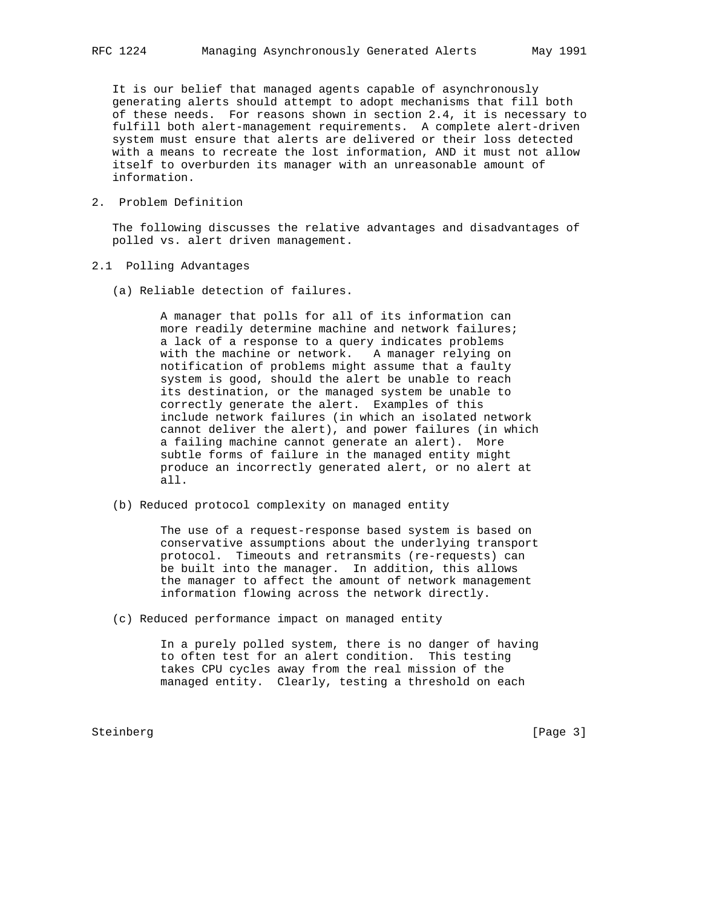It is our belief that managed agents capable of asynchronously generating alerts should attempt to adopt mechanisms that fill both of these needs. For reasons shown in section 2.4, it is necessary to fulfill both alert-management requirements. A complete alert-driven system must ensure that alerts are delivered or their loss detected with a means to recreate the lost information, AND it must not allow itself to overburden its manager with an unreasonable amount of information.

2. Problem Definition

 The following discusses the relative advantages and disadvantages of polled vs. alert driven management.

- 2.1 Polling Advantages
	- (a) Reliable detection of failures.

 A manager that polls for all of its information can more readily determine machine and network failures; a lack of a response to a query indicates problems with the machine or network. A manager relying on notification of problems might assume that a faulty system is good, should the alert be unable to reach its destination, or the managed system be unable to correctly generate the alert. Examples of this include network failures (in which an isolated network cannot deliver the alert), and power failures (in which a failing machine cannot generate an alert). More subtle forms of failure in the managed entity might produce an incorrectly generated alert, or no alert at all.

(b) Reduced protocol complexity on managed entity

 The use of a request-response based system is based on conservative assumptions about the underlying transport protocol. Timeouts and retransmits (re-requests) can be built into the manager. In addition, this allows the manager to affect the amount of network management information flowing across the network directly.

(c) Reduced performance impact on managed entity

 In a purely polled system, there is no danger of having to often test for an alert condition. This testing takes CPU cycles away from the real mission of the managed entity. Clearly, testing a threshold on each

Steinberg [Page 3]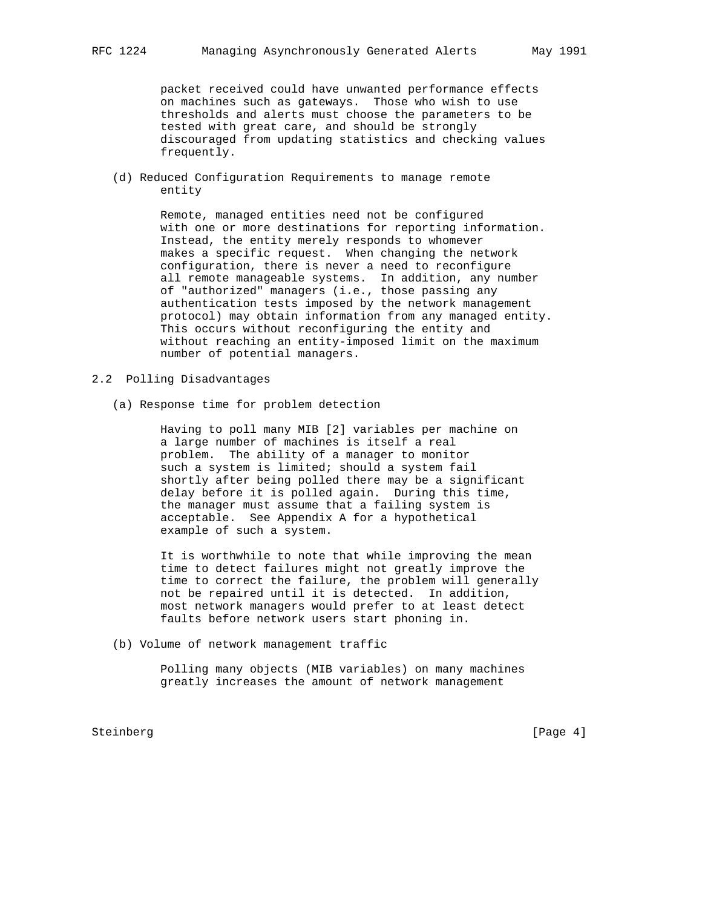packet received could have unwanted performance effects on machines such as gateways. Those who wish to use thresholds and alerts must choose the parameters to be tested with great care, and should be strongly discouraged from updating statistics and checking values frequently.

 (d) Reduced Configuration Requirements to manage remote entity

> Remote, managed entities need not be configured with one or more destinations for reporting information. Instead, the entity merely responds to whomever makes a specific request. When changing the network configuration, there is never a need to reconfigure all remote manageable systems. In addition, any number of "authorized" managers (i.e., those passing any authentication tests imposed by the network management protocol) may obtain information from any managed entity. This occurs without reconfiguring the entity and without reaching an entity-imposed limit on the maximum number of potential managers.

## 2.2 Polling Disadvantages

(a) Response time for problem detection

 Having to poll many MIB [2] variables per machine on a large number of machines is itself a real problem. The ability of a manager to monitor such a system is limited; should a system fail shortly after being polled there may be a significant delay before it is polled again. During this time, the manager must assume that a failing system is acceptable. See Appendix A for a hypothetical example of such a system.

 It is worthwhile to note that while improving the mean time to detect failures might not greatly improve the time to correct the failure, the problem will generally not be repaired until it is detected. In addition, most network managers would prefer to at least detect faults before network users start phoning in.

(b) Volume of network management traffic

 Polling many objects (MIB variables) on many machines greatly increases the amount of network management

Steinberg [Page 4]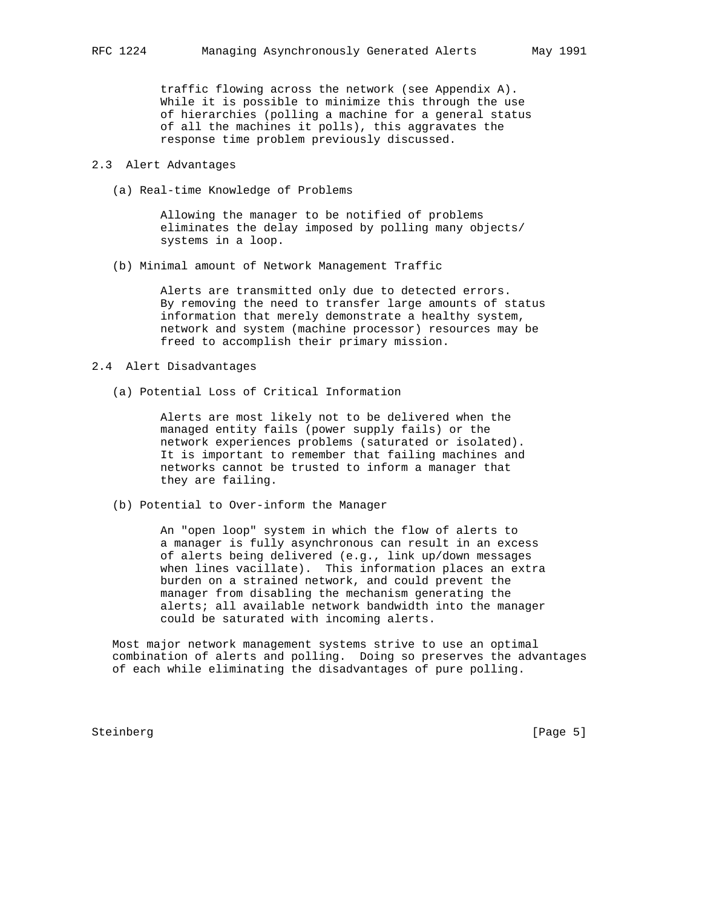traffic flowing across the network (see Appendix A). While it is possible to minimize this through the use of hierarchies (polling a machine for a general status of all the machines it polls), this aggravates the response time problem previously discussed.

## 2.3 Alert Advantages

(a) Real-time Knowledge of Problems

 Allowing the manager to be notified of problems eliminates the delay imposed by polling many objects/ systems in a loop.

(b) Minimal amount of Network Management Traffic

 Alerts are transmitted only due to detected errors. By removing the need to transfer large amounts of status information that merely demonstrate a healthy system, network and system (machine processor) resources may be freed to accomplish their primary mission.

#### 2.4 Alert Disadvantages

(a) Potential Loss of Critical Information

 Alerts are most likely not to be delivered when the managed entity fails (power supply fails) or the network experiences problems (saturated or isolated). It is important to remember that failing machines and networks cannot be trusted to inform a manager that they are failing.

(b) Potential to Over-inform the Manager

 An "open loop" system in which the flow of alerts to a manager is fully asynchronous can result in an excess of alerts being delivered (e.g., link up/down messages when lines vacillate). This information places an extra burden on a strained network, and could prevent the manager from disabling the mechanism generating the alerts; all available network bandwidth into the manager could be saturated with incoming alerts.

 Most major network management systems strive to use an optimal combination of alerts and polling. Doing so preserves the advantages of each while eliminating the disadvantages of pure polling.

Steinberg [Page 5]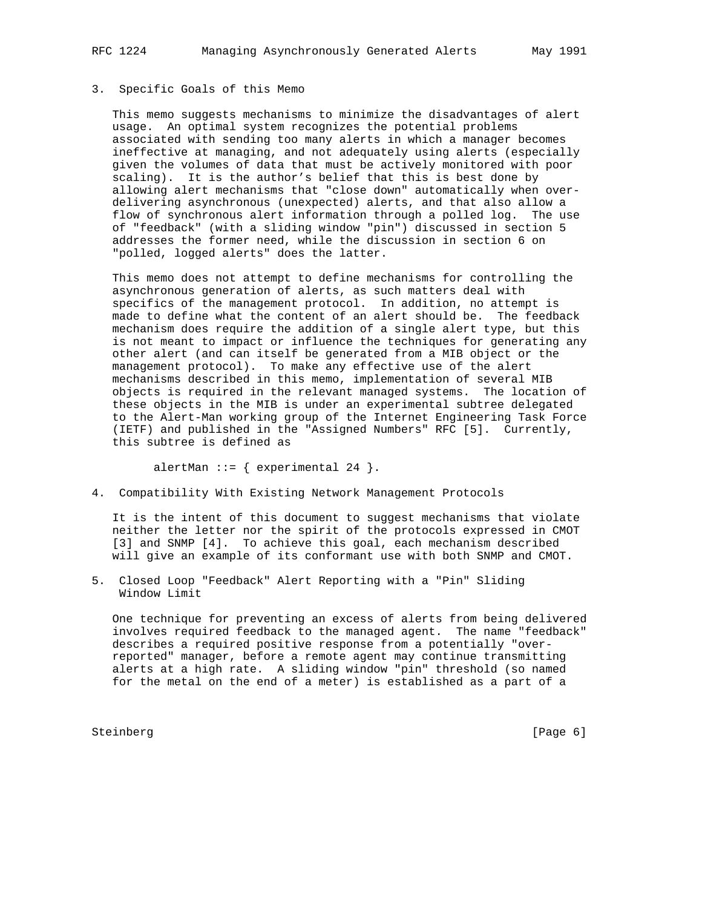# 3. Specific Goals of this Memo

 This memo suggests mechanisms to minimize the disadvantages of alert usage. An optimal system recognizes the potential problems associated with sending too many alerts in which a manager becomes ineffective at managing, and not adequately using alerts (especially given the volumes of data that must be actively monitored with poor scaling). It is the author's belief that this is best done by allowing alert mechanisms that "close down" automatically when over delivering asynchronous (unexpected) alerts, and that also allow a flow of synchronous alert information through a polled log. The use of "feedback" (with a sliding window "pin") discussed in section 5 addresses the former need, while the discussion in section 6 on "polled, logged alerts" does the latter.

 This memo does not attempt to define mechanisms for controlling the asynchronous generation of alerts, as such matters deal with specifics of the management protocol. In addition, no attempt is made to define what the content of an alert should be. The feedback mechanism does require the addition of a single alert type, but this is not meant to impact or influence the techniques for generating any other alert (and can itself be generated from a MIB object or the management protocol). To make any effective use of the alert mechanisms described in this memo, implementation of several MIB objects is required in the relevant managed systems. The location of these objects in the MIB is under an experimental subtree delegated to the Alert-Man working group of the Internet Engineering Task Force (IETF) and published in the "Assigned Numbers" RFC [5]. Currently, this subtree is defined as

alertMan  $::= \{$  experimental 24  $\}.$ 

4. Compatibility With Existing Network Management Protocols

 It is the intent of this document to suggest mechanisms that violate neither the letter nor the spirit of the protocols expressed in CMOT [3] and SNMP [4]. To achieve this goal, each mechanism described will give an example of its conformant use with both SNMP and CMOT.

5. Closed Loop "Feedback" Alert Reporting with a "Pin" Sliding Window Limit

 One technique for preventing an excess of alerts from being delivered involves required feedback to the managed agent. The name "feedback" describes a required positive response from a potentially "over reported" manager, before a remote agent may continue transmitting alerts at a high rate. A sliding window "pin" threshold (so named for the metal on the end of a meter) is established as a part of a

Steinberg [Page 6]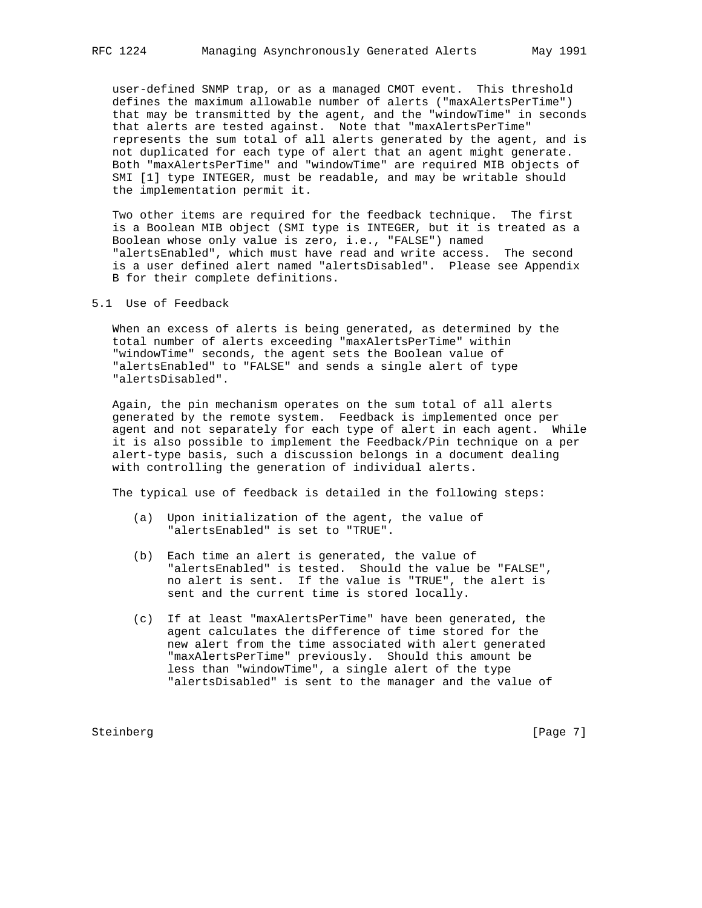user-defined SNMP trap, or as a managed CMOT event. This threshold defines the maximum allowable number of alerts ("maxAlertsPerTime") that may be transmitted by the agent, and the "windowTime" in seconds that alerts are tested against. Note that "maxAlertsPerTime" represents the sum total of all alerts generated by the agent, and is not duplicated for each type of alert that an agent might generate. Both "maxAlertsPerTime" and "windowTime" are required MIB objects of SMI [1] type INTEGER, must be readable, and may be writable should the implementation permit it.

 Two other items are required for the feedback technique. The first is a Boolean MIB object (SMI type is INTEGER, but it is treated as a Boolean whose only value is zero, i.e., "FALSE") named "alertsEnabled", which must have read and write access. The second is a user defined alert named "alertsDisabled". Please see Appendix B for their complete definitions.

5.1 Use of Feedback

 When an excess of alerts is being generated, as determined by the total number of alerts exceeding "maxAlertsPerTime" within "windowTime" seconds, the agent sets the Boolean value of "alertsEnabled" to "FALSE" and sends a single alert of type "alertsDisabled".

 Again, the pin mechanism operates on the sum total of all alerts generated by the remote system. Feedback is implemented once per agent and not separately for each type of alert in each agent. While it is also possible to implement the Feedback/Pin technique on a per alert-type basis, such a discussion belongs in a document dealing with controlling the generation of individual alerts.

The typical use of feedback is detailed in the following steps:

- (a) Upon initialization of the agent, the value of "alertsEnabled" is set to "TRUE".
- (b) Each time an alert is generated, the value of "alertsEnabled" is tested. Should the value be "FALSE", no alert is sent. If the value is "TRUE", the alert is sent and the current time is stored locally.
- (c) If at least "maxAlertsPerTime" have been generated, the agent calculates the difference of time stored for the new alert from the time associated with alert generated "maxAlertsPerTime" previously. Should this amount be less than "windowTime", a single alert of the type "alertsDisabled" is sent to the manager and the value of

Steinberg [Page 7]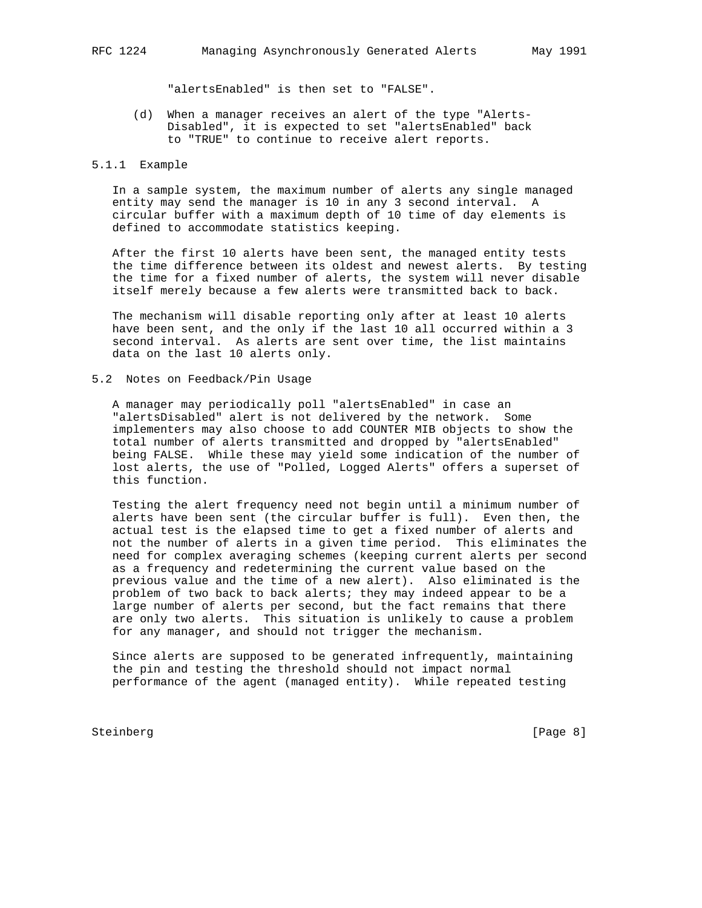"alertsEnabled" is then set to "FALSE".

 (d) When a manager receives an alert of the type "Alerts- Disabled", it is expected to set "alertsEnabled" back to "TRUE" to continue to receive alert reports.

#### 5.1.1 Example

 In a sample system, the maximum number of alerts any single managed entity may send the manager is 10 in any 3 second interval. A circular buffer with a maximum depth of 10 time of day elements is defined to accommodate statistics keeping.

 After the first 10 alerts have been sent, the managed entity tests the time difference between its oldest and newest alerts. By testing the time for a fixed number of alerts, the system will never disable itself merely because a few alerts were transmitted back to back.

 The mechanism will disable reporting only after at least 10 alerts have been sent, and the only if the last 10 all occurred within a 3 second interval. As alerts are sent over time, the list maintains data on the last 10 alerts only.

#### 5.2 Notes on Feedback/Pin Usage

 A manager may periodically poll "alertsEnabled" in case an "alertsDisabled" alert is not delivered by the network. Some implementers may also choose to add COUNTER MIB objects to show the total number of alerts transmitted and dropped by "alertsEnabled" being FALSE. While these may yield some indication of the number of lost alerts, the use of "Polled, Logged Alerts" offers a superset of this function.

 Testing the alert frequency need not begin until a minimum number of alerts have been sent (the circular buffer is full). Even then, the actual test is the elapsed time to get a fixed number of alerts and not the number of alerts in a given time period. This eliminates the need for complex averaging schemes (keeping current alerts per second as a frequency and redetermining the current value based on the previous value and the time of a new alert). Also eliminated is the problem of two back to back alerts; they may indeed appear to be a large number of alerts per second, but the fact remains that there are only two alerts. This situation is unlikely to cause a problem for any manager, and should not trigger the mechanism.

 Since alerts are supposed to be generated infrequently, maintaining the pin and testing the threshold should not impact normal performance of the agent (managed entity). While repeated testing

Steinberg [Page 8]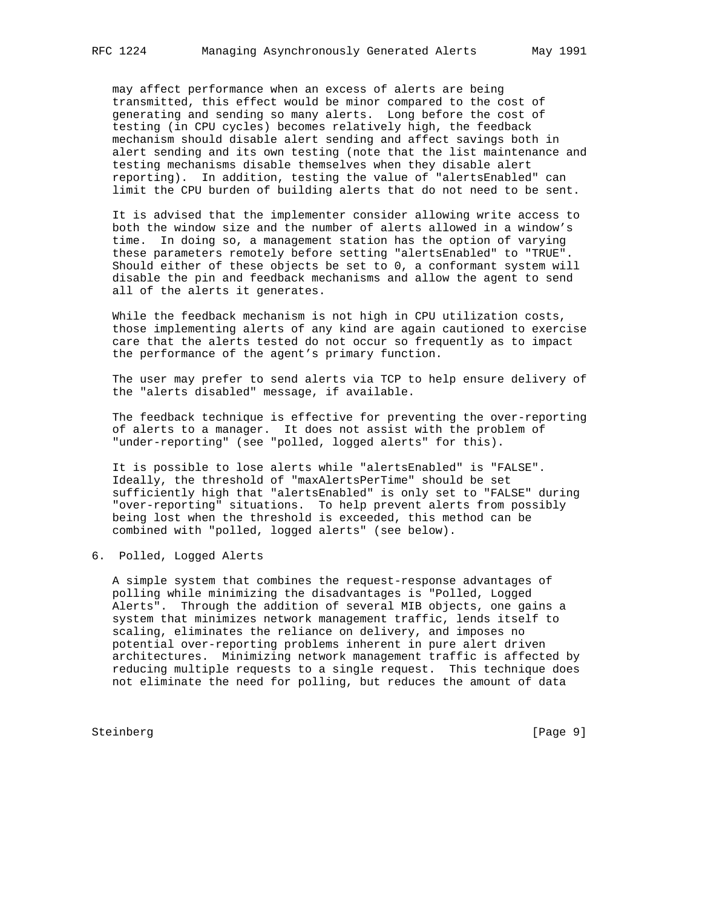may affect performance when an excess of alerts are being transmitted, this effect would be minor compared to the cost of generating and sending so many alerts. Long before the cost of testing (in CPU cycles) becomes relatively high, the feedback mechanism should disable alert sending and affect savings both in alert sending and its own testing (note that the list maintenance and testing mechanisms disable themselves when they disable alert reporting). In addition, testing the value of "alertsEnabled" can limit the CPU burden of building alerts that do not need to be sent.

 It is advised that the implementer consider allowing write access to both the window size and the number of alerts allowed in a window's time. In doing so, a management station has the option of varying these parameters remotely before setting "alertsEnabled" to "TRUE". Should either of these objects be set to 0, a conformant system will disable the pin and feedback mechanisms and allow the agent to send all of the alerts it generates.

 While the feedback mechanism is not high in CPU utilization costs, those implementing alerts of any kind are again cautioned to exercise care that the alerts tested do not occur so frequently as to impact the performance of the agent's primary function.

 The user may prefer to send alerts via TCP to help ensure delivery of the "alerts disabled" message, if available.

 The feedback technique is effective for preventing the over-reporting of alerts to a manager. It does not assist with the problem of "under-reporting" (see "polled, logged alerts" for this).

 It is possible to lose alerts while "alertsEnabled" is "FALSE". Ideally, the threshold of "maxAlertsPerTime" should be set sufficiently high that "alertsEnabled" is only set to "FALSE" during "over-reporting" situations. To help prevent alerts from possibly being lost when the threshold is exceeded, this method can be combined with "polled, logged alerts" (see below).

6. Polled, Logged Alerts

 A simple system that combines the request-response advantages of polling while minimizing the disadvantages is "Polled, Logged Alerts". Through the addition of several MIB objects, one gains a system that minimizes network management traffic, lends itself to scaling, eliminates the reliance on delivery, and imposes no potential over-reporting problems inherent in pure alert driven architectures. Minimizing network management traffic is affected by reducing multiple requests to a single request. This technique does not eliminate the need for polling, but reduces the amount of data

Steinberg [Page 9]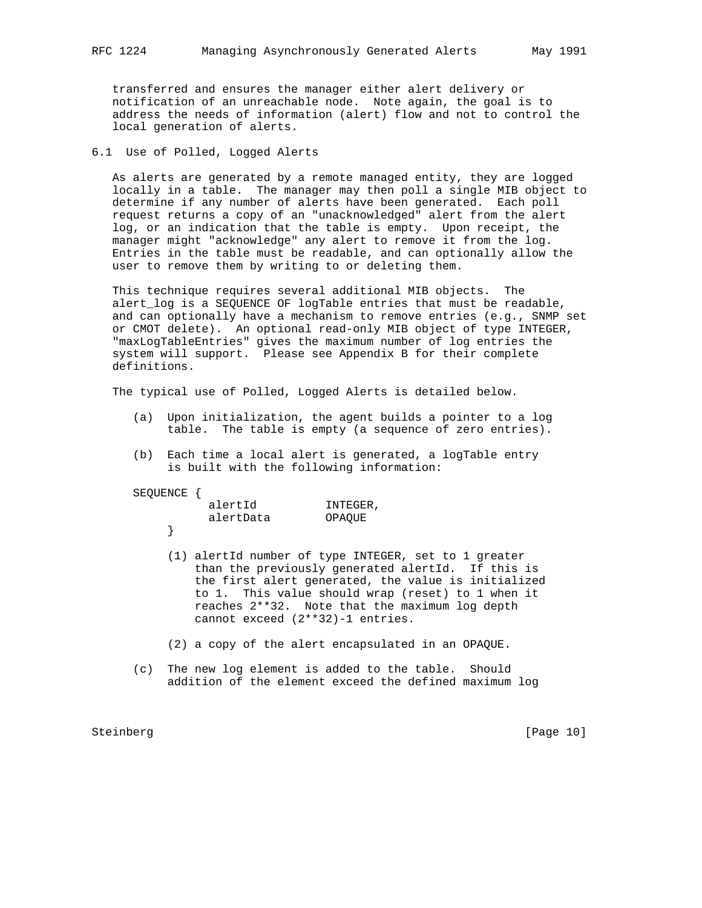transferred and ensures the manager either alert delivery or notification of an unreachable node. Note again, the goal is to address the needs of information (alert) flow and not to control the local generation of alerts.

## 6.1 Use of Polled, Logged Alerts

 As alerts are generated by a remote managed entity, they are logged locally in a table. The manager may then poll a single MIB object to determine if any number of alerts have been generated. Each poll request returns a copy of an "unacknowledged" alert from the alert log, or an indication that the table is empty. Upon receipt, the manager might "acknowledge" any alert to remove it from the log. Entries in the table must be readable, and can optionally allow the user to remove them by writing to or deleting them.

 This technique requires several additional MIB objects. The alert\_log is a SEQUENCE OF logTable entries that must be readable, and can optionally have a mechanism to remove entries (e.g., SNMP set or CMOT delete). An optional read-only MIB object of type INTEGER, "maxLogTableEntries" gives the maximum number of log entries the system will support. Please see Appendix B for their complete definitions.

The typical use of Polled, Logged Alerts is detailed below.

- (a) Upon initialization, the agent builds a pointer to a log table. The table is empty (a sequence of zero entries).
- (b) Each time a local alert is generated, a logTable entry is built with the following information:

#### SEQUENCE {

}

|  | alertId   | INTEGER, |
|--|-----------|----------|
|  | alertData | OPAOUE   |
|  |           |          |

- (1) alertId number of type INTEGER, set to 1 greater than the previously generated alertId. If this is the first alert generated, the value is initialized to 1. This value should wrap (reset) to 1 when it reaches 2\*\*32. Note that the maximum log depth cannot exceed (2\*\*32)-1 entries.
- (2) a copy of the alert encapsulated in an OPAQUE.
- (c) The new log element is added to the table. Should addition of the element exceed the defined maximum log

Steinberg [Page 10]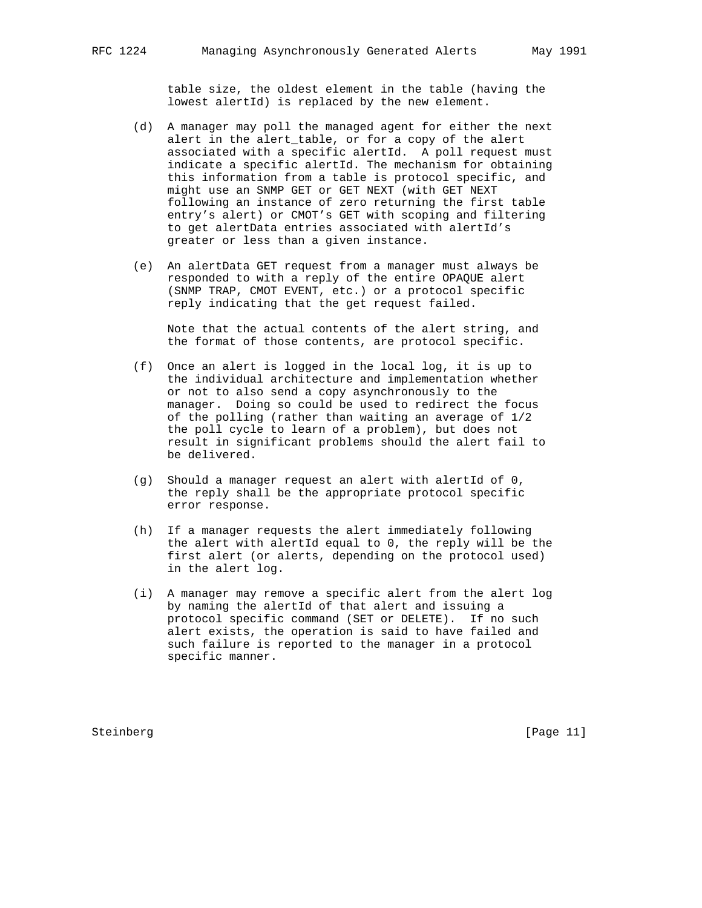table size, the oldest element in the table (having the lowest alertId) is replaced by the new element.

- (d) A manager may poll the managed agent for either the next alert in the alert\_table, or for a copy of the alert associated with a specific alertId. A poll request must indicate a specific alertId. The mechanism for obtaining this information from a table is protocol specific, and might use an SNMP GET or GET NEXT (with GET NEXT following an instance of zero returning the first table entry's alert) or CMOT's GET with scoping and filtering to get alertData entries associated with alertId's greater or less than a given instance.
- (e) An alertData GET request from a manager must always be responded to with a reply of the entire OPAQUE alert (SNMP TRAP, CMOT EVENT, etc.) or a protocol specific reply indicating that the get request failed.

 Note that the actual contents of the alert string, and the format of those contents, are protocol specific.

- (f) Once an alert is logged in the local log, it is up to the individual architecture and implementation whether or not to also send a copy asynchronously to the manager. Doing so could be used to redirect the focus of the polling (rather than waiting an average of 1/2 the poll cycle to learn of a problem), but does not result in significant problems should the alert fail to be delivered.
- (g) Should a manager request an alert with alertId of 0, the reply shall be the appropriate protocol specific error response.
- (h) If a manager requests the alert immediately following the alert with alertId equal to 0, the reply will be the first alert (or alerts, depending on the protocol used) in the alert log.
- (i) A manager may remove a specific alert from the alert log by naming the alertId of that alert and issuing a protocol specific command (SET or DELETE). If no such alert exists, the operation is said to have failed and such failure is reported to the manager in a protocol specific manner.

Steinberg [Page 11]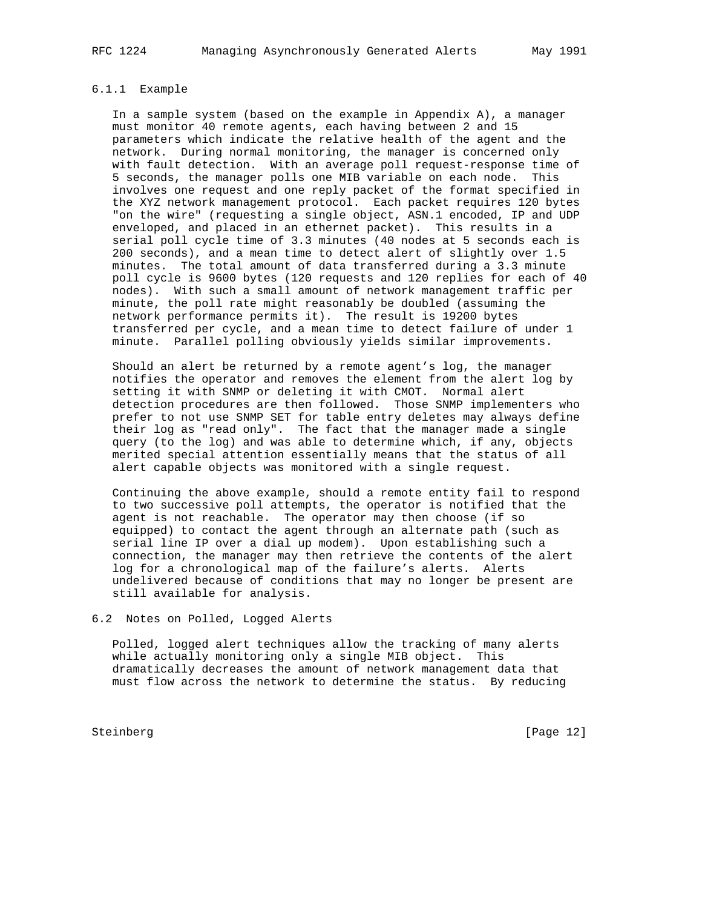# 6.1.1 Example

 In a sample system (based on the example in Appendix A), a manager must monitor 40 remote agents, each having between 2 and 15 parameters which indicate the relative health of the agent and the network. During normal monitoring, the manager is concerned only with fault detection. With an average poll request-response time of 5 seconds, the manager polls one MIB variable on each node. This involves one request and one reply packet of the format specified in the XYZ network management protocol. Each packet requires 120 bytes "on the wire" (requesting a single object, ASN.1 encoded, IP and UDP enveloped, and placed in an ethernet packet). This results in a serial poll cycle time of 3.3 minutes (40 nodes at 5 seconds each is 200 seconds), and a mean time to detect alert of slightly over 1.5 minutes. The total amount of data transferred during a 3.3 minute poll cycle is 9600 bytes (120 requests and 120 replies for each of 40 nodes). With such a small amount of network management traffic per minute, the poll rate might reasonably be doubled (assuming the network performance permits it). The result is 19200 bytes transferred per cycle, and a mean time to detect failure of under 1 minute. Parallel polling obviously yields similar improvements.

 Should an alert be returned by a remote agent's log, the manager notifies the operator and removes the element from the alert log by setting it with SNMP or deleting it with CMOT. Normal alert detection procedures are then followed. Those SNMP implementers who prefer to not use SNMP SET for table entry deletes may always define their log as "read only". The fact that the manager made a single query (to the log) and was able to determine which, if any, objects merited special attention essentially means that the status of all alert capable objects was monitored with a single request.

 Continuing the above example, should a remote entity fail to respond to two successive poll attempts, the operator is notified that the agent is not reachable. The operator may then choose (if so equipped) to contact the agent through an alternate path (such as serial line IP over a dial up modem). Upon establishing such a connection, the manager may then retrieve the contents of the alert log for a chronological map of the failure's alerts. Alerts undelivered because of conditions that may no longer be present are still available for analysis.

# 6.2 Notes on Polled, Logged Alerts

 Polled, logged alert techniques allow the tracking of many alerts while actually monitoring only a single MIB object. This dramatically decreases the amount of network management data that must flow across the network to determine the status. By reducing

Steinberg [Page 12]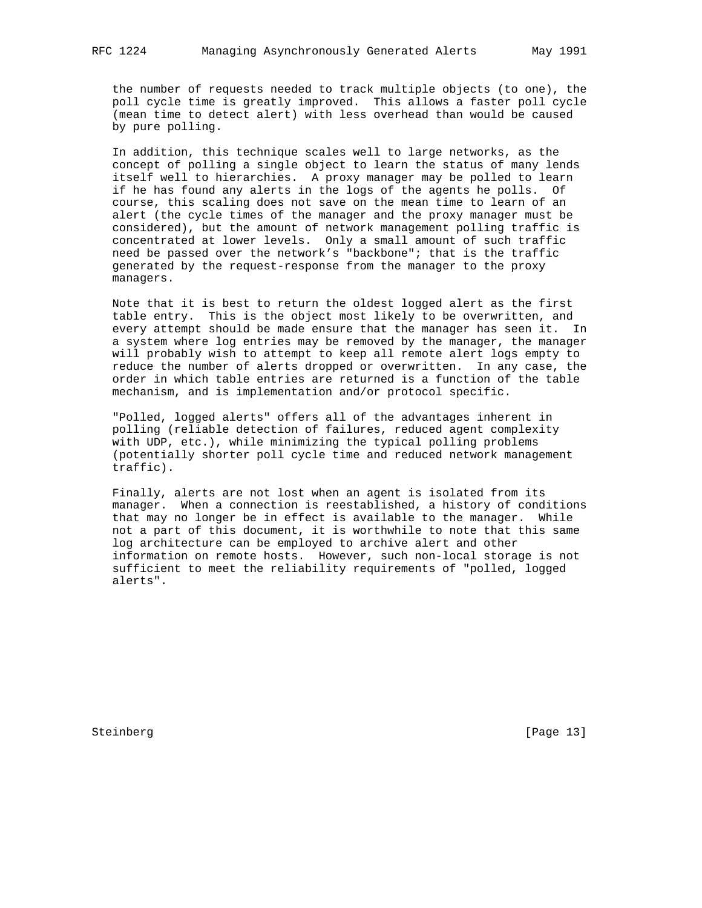the number of requests needed to track multiple objects (to one), the poll cycle time is greatly improved. This allows a faster poll cycle (mean time to detect alert) with less overhead than would be caused by pure polling.

 In addition, this technique scales well to large networks, as the concept of polling a single object to learn the status of many lends itself well to hierarchies. A proxy manager may be polled to learn if he has found any alerts in the logs of the agents he polls. Of course, this scaling does not save on the mean time to learn of an alert (the cycle times of the manager and the proxy manager must be considered), but the amount of network management polling traffic is concentrated at lower levels. Only a small amount of such traffic need be passed over the network's "backbone"; that is the traffic generated by the request-response from the manager to the proxy managers.

 Note that it is best to return the oldest logged alert as the first table entry. This is the object most likely to be overwritten, and every attempt should be made ensure that the manager has seen it. In a system where log entries may be removed by the manager, the manager will probably wish to attempt to keep all remote alert logs empty to reduce the number of alerts dropped or overwritten. In any case, the order in which table entries are returned is a function of the table mechanism, and is implementation and/or protocol specific.

 "Polled, logged alerts" offers all of the advantages inherent in polling (reliable detection of failures, reduced agent complexity with UDP, etc.), while minimizing the typical polling problems (potentially shorter poll cycle time and reduced network management traffic).

 Finally, alerts are not lost when an agent is isolated from its manager. When a connection is reestablished, a history of conditions that may no longer be in effect is available to the manager. While not a part of this document, it is worthwhile to note that this same log architecture can be employed to archive alert and other information on remote hosts. However, such non-local storage is not sufficient to meet the reliability requirements of "polled, logged alerts".

Steinberg [Page 13]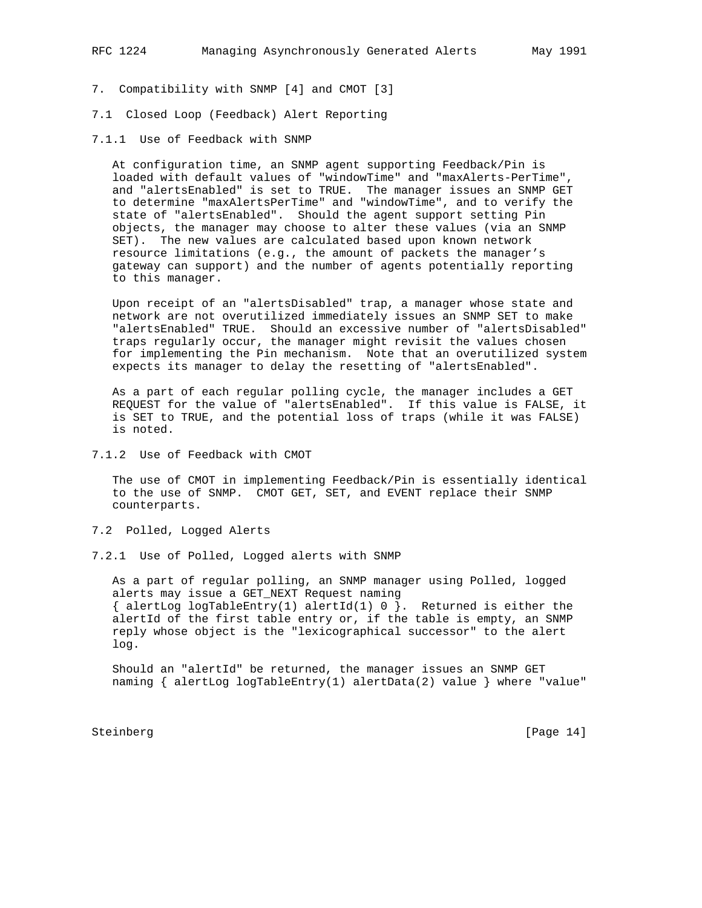7. Compatibility with SNMP [4] and CMOT [3]

7.1 Closed Loop (Feedback) Alert Reporting

7.1.1 Use of Feedback with SNMP

 At configuration time, an SNMP agent supporting Feedback/Pin is loaded with default values of "windowTime" and "maxAlerts-PerTime", and "alertsEnabled" is set to TRUE. The manager issues an SNMP GET to determine "maxAlertsPerTime" and "windowTime", and to verify the state of "alertsEnabled". Should the agent support setting Pin objects, the manager may choose to alter these values (via an SNMP SET). The new values are calculated based upon known network resource limitations (e.g., the amount of packets the manager's gateway can support) and the number of agents potentially reporting to this manager.

 Upon receipt of an "alertsDisabled" trap, a manager whose state and network are not overutilized immediately issues an SNMP SET to make "alertsEnabled" TRUE. Should an excessive number of "alertsDisabled" traps regularly occur, the manager might revisit the values chosen for implementing the Pin mechanism. Note that an overutilized system expects its manager to delay the resetting of "alertsEnabled".

 As a part of each regular polling cycle, the manager includes a GET REQUEST for the value of "alertsEnabled". If this value is FALSE, it is SET to TRUE, and the potential loss of traps (while it was FALSE) is noted.

7.1.2 Use of Feedback with CMOT

 The use of CMOT in implementing Feedback/Pin is essentially identical to the use of SNMP. CMOT GET, SET, and EVENT replace their SNMP counterparts.

- 7.2 Polled, Logged Alerts
- 7.2.1 Use of Polled, Logged alerts with SNMP

 As a part of regular polling, an SNMP manager using Polled, logged alerts may issue a GET\_NEXT Request naming  $\{$  alertLog logTableEntry(1) alertId(1) 0  $\}$ . Returned is either the alertId of the first table entry or, if the table is empty, an SNMP reply whose object is the "lexicographical successor" to the alert log.

 Should an "alertId" be returned, the manager issues an SNMP GET naming { alertLog logTableEntry(1) alertData(2) value } where "value"

Steinberg [Page 14]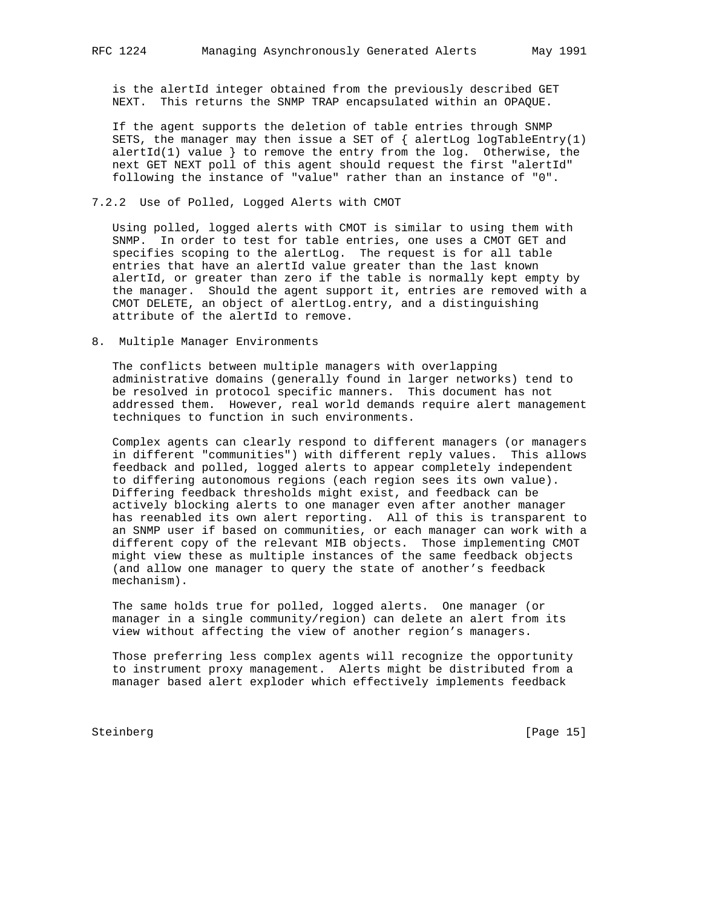is the alertId integer obtained from the previously described GET NEXT. This returns the SNMP TRAP encapsulated within an OPAQUE.

 If the agent supports the deletion of table entries through SNMP SETS, the manager may then issue a SET of  $\{$  alertLog logTableEntry(1) alertId(1) value  $\}$  to remove the entry from the log. Otherwise, the next GET NEXT poll of this agent should request the first "alertId" following the instance of "value" rather than an instance of "0".

## 7.2.2 Use of Polled, Logged Alerts with CMOT

 Using polled, logged alerts with CMOT is similar to using them with SNMP. In order to test for table entries, one uses a CMOT GET and specifies scoping to the alertLog. The request is for all table entries that have an alertId value greater than the last known alertId, or greater than zero if the table is normally kept empty by the manager. Should the agent support it, entries are removed with a CMOT DELETE, an object of alertLog.entry, and a distinguishing attribute of the alertId to remove.

#### 8. Multiple Manager Environments

 The conflicts between multiple managers with overlapping administrative domains (generally found in larger networks) tend to be resolved in protocol specific manners. This document has not addressed them. However, real world demands require alert management techniques to function in such environments.

 Complex agents can clearly respond to different managers (or managers in different "communities") with different reply values. This allows feedback and polled, logged alerts to appear completely independent to differing autonomous regions (each region sees its own value). Differing feedback thresholds might exist, and feedback can be actively blocking alerts to one manager even after another manager has reenabled its own alert reporting. All of this is transparent to an SNMP user if based on communities, or each manager can work with a different copy of the relevant MIB objects. Those implementing CMOT might view these as multiple instances of the same feedback objects (and allow one manager to query the state of another's feedback mechanism).

 The same holds true for polled, logged alerts. One manager (or manager in a single community/region) can delete an alert from its view without affecting the view of another region's managers.

 Those preferring less complex agents will recognize the opportunity to instrument proxy management. Alerts might be distributed from a manager based alert exploder which effectively implements feedback

Steinberg [Page 15]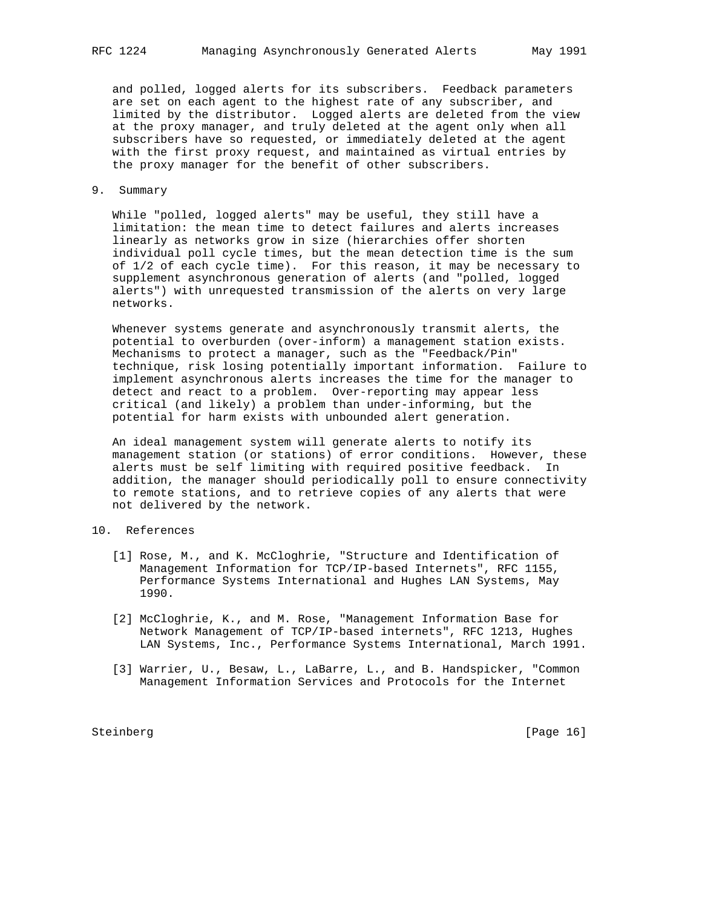and polled, logged alerts for its subscribers. Feedback parameters are set on each agent to the highest rate of any subscriber, and limited by the distributor. Logged alerts are deleted from the view at the proxy manager, and truly deleted at the agent only when all subscribers have so requested, or immediately deleted at the agent with the first proxy request, and maintained as virtual entries by the proxy manager for the benefit of other subscribers.

#### 9. Summary

 While "polled, logged alerts" may be useful, they still have a limitation: the mean time to detect failures and alerts increases linearly as networks grow in size (hierarchies offer shorten individual poll cycle times, but the mean detection time is the sum of 1/2 of each cycle time). For this reason, it may be necessary to supplement asynchronous generation of alerts (and "polled, logged alerts") with unrequested transmission of the alerts on very large networks.

 Whenever systems generate and asynchronously transmit alerts, the potential to overburden (over-inform) a management station exists. Mechanisms to protect a manager, such as the "Feedback/Pin" technique, risk losing potentially important information. Failure to implement asynchronous alerts increases the time for the manager to detect and react to a problem. Over-reporting may appear less critical (and likely) a problem than under-informing, but the potential for harm exists with unbounded alert generation.

 An ideal management system will generate alerts to notify its management station (or stations) of error conditions. However, these alerts must be self limiting with required positive feedback. In addition, the manager should periodically poll to ensure connectivity to remote stations, and to retrieve copies of any alerts that were not delivered by the network.

## 10. References

- [1] Rose, M., and K. McCloghrie, "Structure and Identification of Management Information for TCP/IP-based Internets", RFC 1155, Performance Systems International and Hughes LAN Systems, May 1990.
- [2] McCloghrie, K., and M. Rose, "Management Information Base for Network Management of TCP/IP-based internets", RFC 1213, Hughes LAN Systems, Inc., Performance Systems International, March 1991.
- [3] Warrier, U., Besaw, L., LaBarre, L., and B. Handspicker, "Common Management Information Services and Protocols for the Internet

Steinberg [Page 16]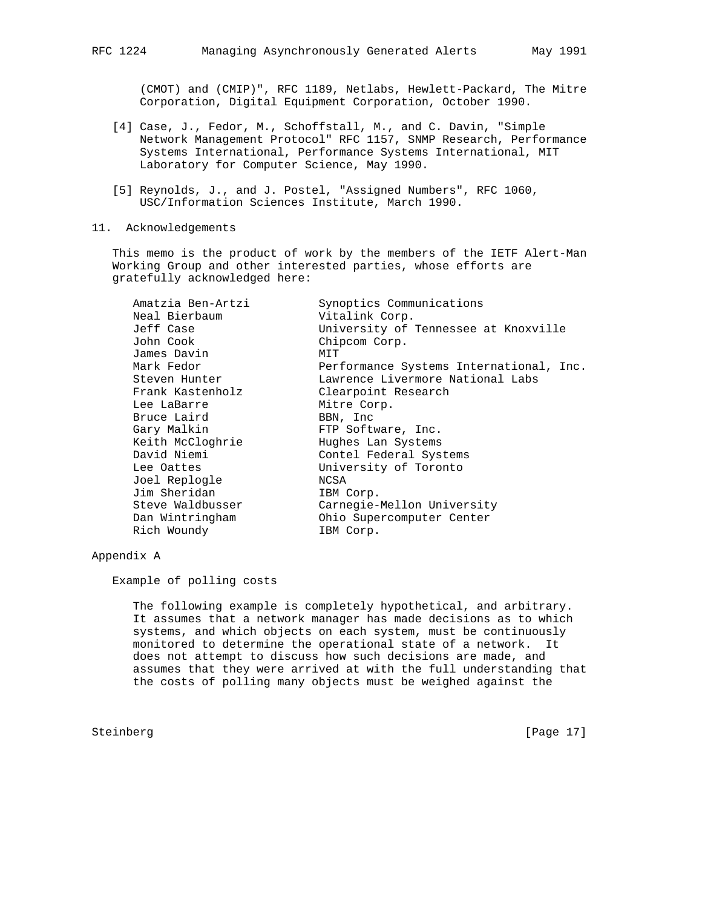(CMOT) and (CMIP)", RFC 1189, Netlabs, Hewlett-Packard, The Mitre Corporation, Digital Equipment Corporation, October 1990.

- [4] Case, J., Fedor, M., Schoffstall, M., and C. Davin, "Simple Network Management Protocol" RFC 1157, SNMP Research, Performance Systems International, Performance Systems International, MIT Laboratory for Computer Science, May 1990.
- [5] Reynolds, J., and J. Postel, "Assigned Numbers", RFC 1060, USC/Information Sciences Institute, March 1990.
- 11. Acknowledgements

 This memo is the product of work by the members of the IETF Alert-Man Working Group and other interested parties, whose efforts are gratefully acknowledged here:

| Amatzia Ben-Artzi | Synoptics Communications                |
|-------------------|-----------------------------------------|
| Neal Bierbaum     | Vitalink Corp.                          |
| Jeff Case         | University of Tennessee at Knoxville    |
| John Cook         | Chipcom Corp.                           |
| James Davin       | MIT                                     |
| Mark Fedor        | Performance Systems International, Inc. |
| Steven Hunter     | Lawrence Livermore National Labs        |
| Frank Kastenholz  | Clearpoint Research                     |
| Lee LaBarre       | Mitre Corp.                             |
| Bruce Laird       | BBN, Inc                                |
| Gary Malkin       | FTP Software, Inc.                      |
| Keith McCloghrie  | Hughes Lan Systems                      |
| David Niemi       | Contel Federal Systems                  |
| Lee Oattes        | University of Toronto                   |
| Joel Replogle     | NCSA                                    |
| Jim Sheridan      | IBM Corp.                               |
| Steve Waldbusser  | Carnegie-Mellon University              |
| Dan Wintringham   | Ohio Supercomputer Center               |
| Rich Woundy       | IBM Corp.                               |

#### Appendix A

Example of polling costs

 The following example is completely hypothetical, and arbitrary. It assumes that a network manager has made decisions as to which systems, and which objects on each system, must be continuously monitored to determine the operational state of a network. It does not attempt to discuss how such decisions are made, and assumes that they were arrived at with the full understanding that the costs of polling many objects must be weighed against the

Steinberg [Page 17]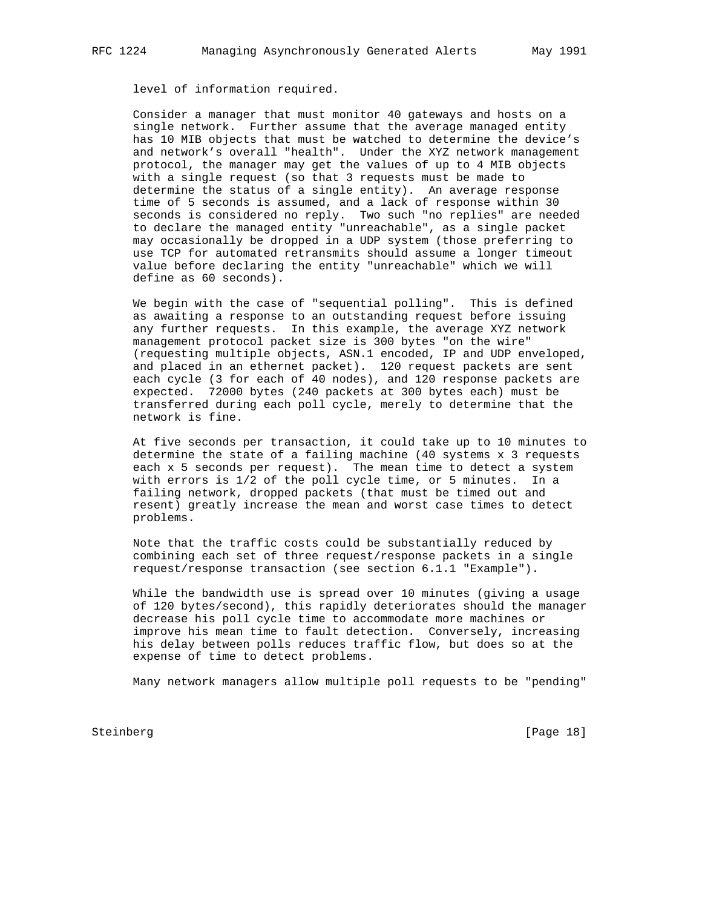level of information required.

 Consider a manager that must monitor 40 gateways and hosts on a single network. Further assume that the average managed entity has 10 MIB objects that must be watched to determine the device's and network's overall "health". Under the XYZ network management protocol, the manager may get the values of up to 4 MIB objects with a single request (so that 3 requests must be made to determine the status of a single entity). An average response time of 5 seconds is assumed, and a lack of response within 30 seconds is considered no reply. Two such "no replies" are needed to declare the managed entity "unreachable", as a single packet may occasionally be dropped in a UDP system (those preferring to use TCP for automated retransmits should assume a longer timeout value before declaring the entity "unreachable" which we will define as 60 seconds).

 We begin with the case of "sequential polling". This is defined as awaiting a response to an outstanding request before issuing any further requests. In this example, the average XYZ network management protocol packet size is 300 bytes "on the wire" (requesting multiple objects, ASN.1 encoded, IP and UDP enveloped, and placed in an ethernet packet). 120 request packets are sent each cycle (3 for each of 40 nodes), and 120 response packets are expected. 72000 bytes (240 packets at 300 bytes each) must be transferred during each poll cycle, merely to determine that the network is fine.

 At five seconds per transaction, it could take up to 10 minutes to determine the state of a failing machine (40 systems x 3 requests each x 5 seconds per request). The mean time to detect a system with errors is 1/2 of the poll cycle time, or 5 minutes. In a failing network, dropped packets (that must be timed out and resent) greatly increase the mean and worst case times to detect problems.

 Note that the traffic costs could be substantially reduced by combining each set of three request/response packets in a single request/response transaction (see section 6.1.1 "Example").

 While the bandwidth use is spread over 10 minutes (giving a usage of 120 bytes/second), this rapidly deteriorates should the manager decrease his poll cycle time to accommodate more machines or improve his mean time to fault detection. Conversely, increasing his delay between polls reduces traffic flow, but does so at the expense of time to detect problems.

Many network managers allow multiple poll requests to be "pending"

Steinberg [Page 18]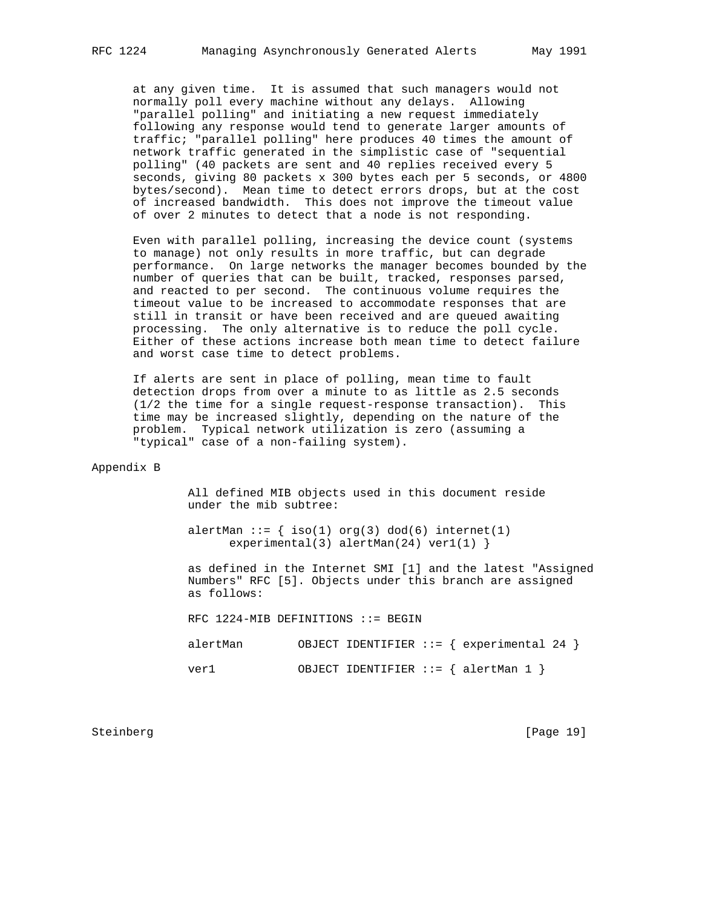at any given time. It is assumed that such managers would not normally poll every machine without any delays. Allowing "parallel polling" and initiating a new request immediately following any response would tend to generate larger amounts of traffic; "parallel polling" here produces 40 times the amount of network traffic generated in the simplistic case of "sequential polling" (40 packets are sent and 40 replies received every 5 seconds, giving 80 packets x 300 bytes each per 5 seconds, or 4800 bytes/second). Mean time to detect errors drops, but at the cost of increased bandwidth. This does not improve the timeout value of over 2 minutes to detect that a node is not responding.

 Even with parallel polling, increasing the device count (systems to manage) not only results in more traffic, but can degrade performance. On large networks the manager becomes bounded by the number of queries that can be built, tracked, responses parsed, and reacted to per second. The continuous volume requires the timeout value to be increased to accommodate responses that are still in transit or have been received and are queued awaiting processing. The only alternative is to reduce the poll cycle. Either of these actions increase both mean time to detect failure and worst case time to detect problems.

 If alerts are sent in place of polling, mean time to fault detection drops from over a minute to as little as 2.5 seconds (1/2 the time for a single request-response transaction). This time may be increased slightly, depending on the nature of the problem. Typical network utilization is zero (assuming a "typical" case of a non-failing system).

Appendix B

 All defined MIB objects used in this document reside under the mib subtree:

alertMan  $::= \{ iso(1) org(3) dod(6) internet(1)$ experimental(3) alertMan(24) ver1(1) }

 as defined in the Internet SMI [1] and the latest "Assigned Numbers" RFC [5]. Objects under this branch are assigned as follows:

RFC 1224-MIB DEFINITIONS ::= BEGIN

| alertMan |  |  | OBJECT IDENTIFIER ::= $\{$ experimental 24 $\}$ |  |
|----------|--|--|-------------------------------------------------|--|
| ver1     |  |  | OBJECT IDENTIFIER ::= { alertMan 1 }            |  |

Steinberg [Page 19]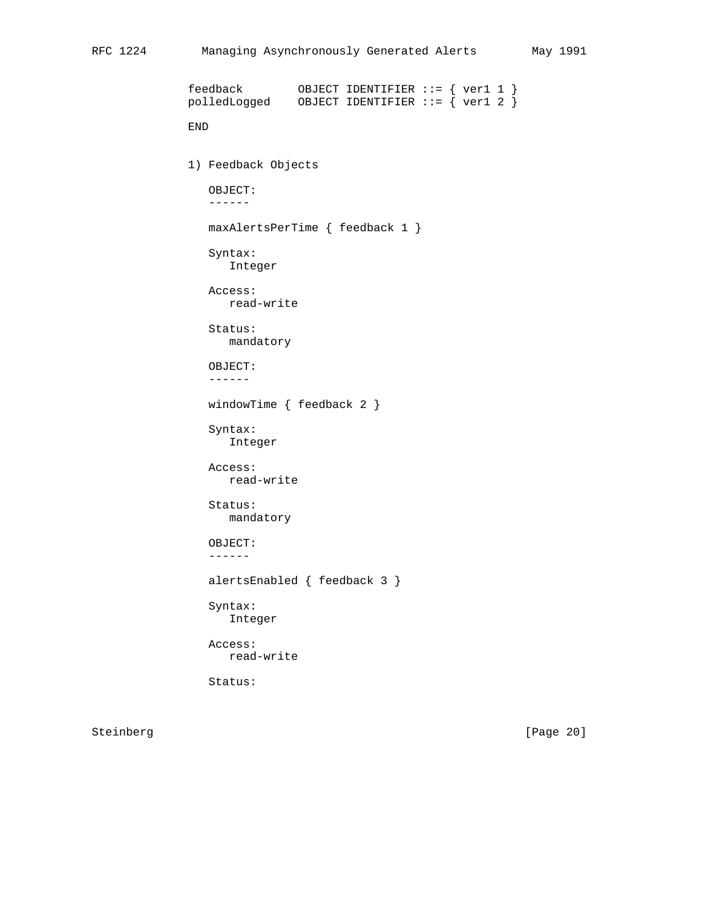```
 feedback OBJECT IDENTIFIER ::= { ver1 1 }
 polledLogged OBJECT IDENTIFIER ::= { ver1 2 }
              END
              1) Feedback Objects
                 OBJECT:
                 ------
                 maxAlertsPerTime { feedback 1 }
                 Syntax:
                   Integer
                 Access:
                   read-write
                 Status:
                   mandatory
                 OBJECT:
                 ------
                 windowTime { feedback 2 }
                 Syntax:
                   Integer
                 Access:
                   read-write
                 Status:
                   mandatory
                 OBJECT:
                ------ alertsEnabled { feedback 3 }
                 Syntax:
                   Integer
                 Access:
                   read-write
                 Status:
```
Steinberg [Page 20]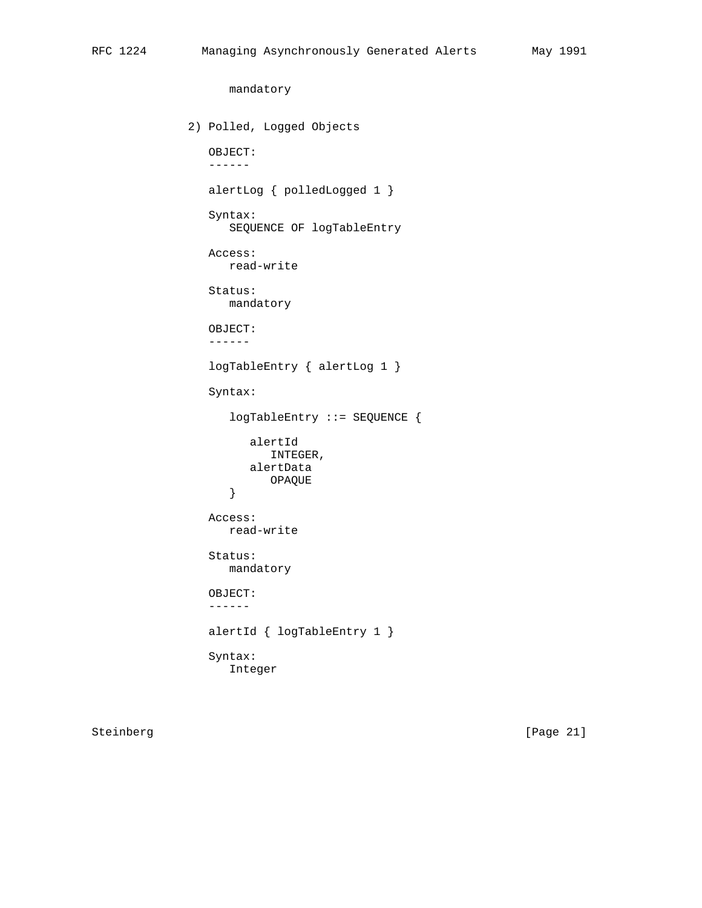mandatory

```
 2) Polled, Logged Objects
                  OBJECT:
                  ------
                  alertLog { polledLogged 1 }
                  Syntax:
                    SEQUENCE OF logTableEntry
                  Access:
                    read-write
                  Status:
                    mandatory
                  OBJECT:
                  ------
                  logTableEntry { alertLog 1 }
                  Syntax:
                     logTableEntry ::= SEQUENCE {
                       alertId
                           INTEGER,
                        alertData
                    OPAQUE<br>}
 }
                  Access:
                    read-write
                  Status:
                    mandatory
                  OBJECT:
                  ------
                 alertId { logTableEntry 1 }
                  Syntax:
                     Integer
```
Steinberg [Page 21]